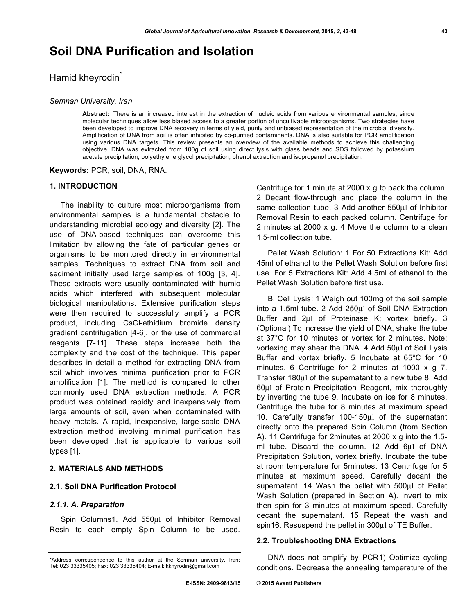# **Soil DNA Purification and Isolation**

# Hamid kheyrodin<sup>\*</sup>

#### *Semnan University, Iran*

**Abstract:** There is an increased interest in the extraction of nucleic acids from various environmental samples, since molecular techniques allow less biased access to a greater portion of uncultivable microorganisms. Two strategies have been developed to improve DNA recovery in terms of yield, purity and unbiased representation of the microbial diversity. Amplification of DNA from soil is often inhibited by co-purified contaminants. DNA is also suitable for PCR amplification using various DNA targets. This review presents an overview of the available methods to achieve this challenging objective. DNA was extracted from 100g of soil using direct lysis with glass beads and SDS followed by potassium acetate precipitation, polyethylene glycol precipitation, phenol extraction and isopropanol precipitation.

**Keywords:** PCR, soil, DNA, RNA.

#### **1. INTRODUCTION**

The inability to culture most microorganisms from environmental samples is a fundamental obstacle to understanding microbial ecology and diversity [2]. The use of DNA-based techniques can overcome this limitation by allowing the fate of particular genes or organisms to be monitored directly in environmental samples. Techniques to extract DNA from soil and sediment initially used large samples of 100g [3, 4]. These extracts were usually contaminated with humic acids which interfered with subsequent molecular biological manipulations. Extensive purification steps were then required to successfully amplify a PCR product, including CsCl-ethidium bromide density gradient centrifugation [4-6], or the use of commercial reagents [7-11]. These steps increase both the complexity and the cost of the technique. This paper describes in detail a method for extracting DNA from soil which involves minimal purification prior to PCR amplification [1]. The method is compared to other commonly used DNA extraction methods. A PCR product was obtained rapidly and inexpensively from large amounts of soil, even when contaminated with heavy metals. A rapid, inexpensive, large-scale DNA extraction method involving minimal purification has been developed that is applicable to various soil types [1].

# **2. MATERIALS AND METHODS**

## **2.1. Soil DNA Purification Protocol**

#### *2.1.1. A. Preparation*

Spin Columns1. Add 550µl of Inhibitor Removal Resin to each empty Spin Column to be used.

Centrifuge for 1 minute at 2000 x g to pack the column. 2 Decant flow-through and place the column in the same collection tube. 3 Add another 550µl of Inhibitor Removal Resin to each packed column. Centrifuge for 2 minutes at 2000 x g. 4 Move the column to a clean 1.5-ml collection tube.

Pellet Wash Solution: 1 For 50 Extractions Kit: Add 45ml of ethanol to the Pellet Wash Solution before first use. For 5 Extractions Kit: Add 4.5ml of ethanol to the Pellet Wash Solution before first use.

B. Cell Lysis: 1 Weigh out 100mg of the soil sample into a 1.5ml tube. 2 Add 250µl of Soil DNA Extraction Buffer and 2µl of Proteinase K; vortex briefly. 3 (Optional) To increase the yield of DNA, shake the tube at 37°C for 10 minutes or vortex for 2 minutes. Note: vortexing may shear the DNA. 4 Add 50µl of Soil Lysis Buffer and vortex briefly. 5 Incubate at 65°C for 10 minutes. 6 Centrifuge for 2 minutes at 1000 x g 7. Transfer 180µl of the supernatant to a new tube 8. Add 60µl of Protein Precipitation Reagent, mix thoroughly by inverting the tube 9. Incubate on ice for 8 minutes. Centrifuge the tube for 8 minutes at maximum speed 10. Carefully transfer 100-150µl of the supernatant directly onto the prepared Spin Column (from Section A). 11 Centrifuge for 2minutes at 2000 x g into the 1.5 ml tube. Discard the column. 12 Add 6µl of DNA Precipitation Solution, vortex briefly. Incubate the tube at room temperature for 5minutes. 13 Centrifuge for 5 minutes at maximum speed. Carefully decant the supernatant. 14 Wash the pellet with 500µl of Pellet Wash Solution (prepared in Section A). Invert to mix then spin for 3 minutes at maximum speed. Carefully decant the supernatant. 15 Repeat the wash and spin16. Resuspend the pellet in 300 $\mu$ l of TE Buffer.

#### **2.2. Troubleshooting DNA Extractions**

DNA does not amplify by PCR1) Optimize cycling conditions. Decrease the annealing temperature of the

<sup>\*</sup>Address correspondence to this author at the Semnan university, Iran; Tel: 023 33335405; Fax: 023 33335404; E-mail: kkhyrodin@gmail.com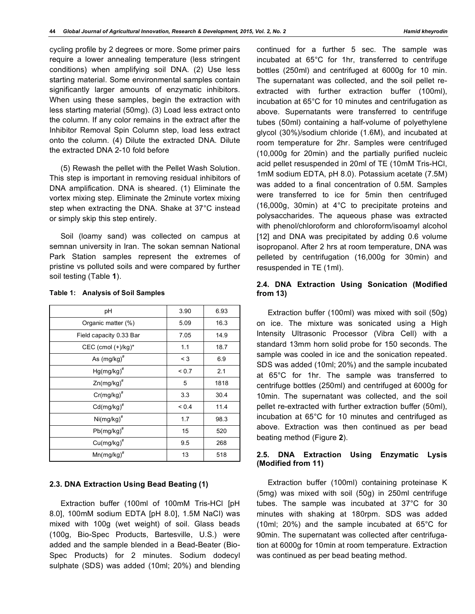cycling profile by 2 degrees or more. Some primer pairs require a lower annealing temperature (less stringent conditions) when amplifying soil DNA. (2) Use less starting material. Some environmental samples contain significantly larger amounts of enzymatic inhibitors. When using these samples, begin the extraction with less starting material (50mg). (3) Load less extract onto the column. If any color remains in the extract after the Inhibitor Removal Spin Column step, load less extract onto the column. (4) Dilute the extracted DNA. Dilute the extracted DNA 2-10 fold before

(5) Rewash the pellet with the Pellet Wash Solution. This step is important in removing residual inhibitors of DNA amplification. DNA is sheared. (1) Eliminate the vortex mixing step. Eliminate the 2minute vortex mixing step when extracting the DNA. Shake at 37°C instead or simply skip this step entirely.

Soil (loamy sand) was collected on campus at semnan university in Iran. The sokan semnan National Park Station samples represent the extremes of pristine vs polluted soils and were compared by further soil testing (Table **1**).

| рH                      | 3.90       | 6.93 |
|-------------------------|------------|------|
| Organic matter (%)      | 5.09       | 16.3 |
| Field capacity 0.33 Bar | 7.05       | 14.9 |
| CEC (cmol (+)/kg)*      | 1.1        | 18.7 |
| As (mg/kg) <sup>#</sup> | $<$ 3      | 6.9  |
| $Hg(mg/kg)^*$           | < 0.7      | 2.1  |
| $Zn(mg/kg)^*$           | 5          | 1818 |
| $Cr(mg/kg)^*$           | 3.3        | 30.4 |
| $Cd(mg/kg)^*$           | ${}_{0.4}$ | 11.4 |
| $Ni(mg/kg)^*$           | 1.7        | 98.3 |
| $Pb(mg/kg)^*$           | 15         | 520  |
| $Cu(mg/kg)^*$           | 9.5        | 268  |
| $Mn(mg/kg)^*$           | 13         | 518  |

#### **Table 1: Analysis of Soil Samples**

## **2.3. DNA Extraction Using Bead Beating (1)**

Extraction buffer (100ml of 100mM Tris-HCl [pH 8.0], 100mM sodium EDTA [pH 8.0], 1.5M NaCl) was mixed with 100g (wet weight) of soil. Glass beads (100g, Bio-Spec Products, Bartesville, U.S.) were added and the sample blended in a Bead-Beater (Bio-Spec Products) for 2 minutes. Sodium dodecyl sulphate (SDS) was added (10ml; 20%) and blending

continued for a further 5 sec. The sample was incubated at 65°C for 1hr, transferred to centrifuge bottles (250ml) and centrifuged at 6000g for 10 min. The supernatant was collected, and the soil pellet reextracted with further extraction buffer (100ml), incubation at 65°C for 10 minutes and centrifugation as above. Supernatants were transferred to centrifuge tubes (50ml) containing a half-volume of polyethylene glycol (30%)/sodium chloride (1.6M), and incubated at room temperature for 2hr. Samples were centrifuged (10,000g for 20min) and the partially purified nucleic acid pellet resuspended in 20ml of TE (10mM Tris-HCl, 1mM sodium EDTA, pH 8.0). Potassium acetate (7.5M) was added to a final concentration of 0.5M. Samples were transferred to ice for 5min then centrifuged (16,000g, 30min) at 4°C to precipitate proteins and polysaccharides. The aqueous phase was extracted with phenol/chloroform and chloroform/isoamyl alcohol [12] and DNA was precipitated by adding 0.6 volume isopropanol. After 2 hrs at room temperature, DNA was pelleted by centrifugation (16,000g for 30min) and resuspended in TE (1ml).

## **2.4. DNA Extraction Using Sonication (Modified from 13)**

Extraction buffer (100ml) was mixed with soil (50g) on ice. The mixture was sonicated using a High Intensity Ultrasonic Processor (Vibra Cell) with a standard 13mm horn solid probe for 150 seconds. The sample was cooled in ice and the sonication repeated. SDS was added (10ml; 20%) and the sample incubated at 65°C for 1hr. The sample was transferred to centrifuge bottles (250ml) and centrifuged at 6000g for 10min. The supernatant was collected, and the soil pellet re-extracted with further extraction buffer (50ml), incubation at 65°C for 10 minutes and centrifuged as above. Extraction was then continued as per bead beating method (Figure **2**).

## **2.5. DNA Extraction Using Enzymatic Lysis (Modified from 11)**

Extraction buffer (100ml) containing proteinase K (5mg) was mixed with soil (50g) in 250ml centrifuge tubes. The sample was incubated at 37°C for 30 minutes with shaking at 180rpm. SDS was added (10ml; 20%) and the sample incubated at 65°C for 90min. The supernatant was collected after centrifugation at 6000g for 10min at room temperature. Extraction was continued as per bead beating method.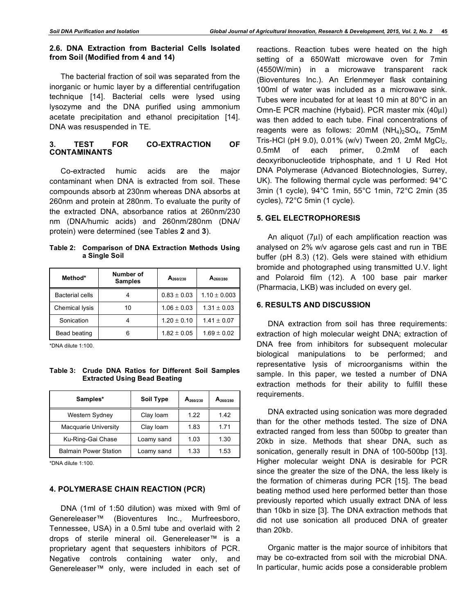# **2.6. DNA Extraction from Bacterial Cells Isolated from Soil (Modified from 4 and 14)**

The bacterial fraction of soil was separated from the inorganic or humic layer by a differential centrifugation technique [14]. Bacterial cells were lysed using lysozyme and the DNA purified using ammonium acetate precipitation and ethanol precipitation [14]. DNA was resuspended in TE.

# **3. TEST FOR CO-EXTRACTION OF CONTAMINANTS**

Co-extracted humic acids are the major contaminant when DNA is extracted from soil. These compounds absorb at 230nm whereas DNA absorbs at 260nm and protein at 280nm. To evaluate the purity of the extracted DNA, absorbance ratios at 260nm/230 nm (DNA/humic acids) and 260nm/280nm (DNA/ protein) were determined (see Tables **2** and **3**).

**Table 2: Comparison of DNA Extraction Methods Using a Single Soil**

| Method*                | Number of<br><b>Samples</b> | $A_{260/230}$                      | $A_{260/280}$    |
|------------------------|-----------------------------|------------------------------------|------------------|
| <b>Bacterial cells</b> |                             | $0.83 \pm 0.03$                    | $1.10 \pm 0.003$ |
| Chemical lysis         | 10                          | $1.06 \pm 0.03$                    | $1.31 \pm 0.03$  |
| Sonication             |                             | $1.20 \pm 0.10$<br>$1.41 \pm 0.07$ |                  |
| Bead beating           |                             | $1.82 \pm 0.05$                    | $1.69 \pm 0.02$  |

\*DNA dilute 1:100.

**Table 3: Crude DNA Ratios for Different Soil Samples Extracted Using Bead Beating**

| Samples*                     | Soil Type  | $A_{260/230}$ | $A_{260/280}$ |
|------------------------------|------------|---------------|---------------|
| Western Sydney               | Clay Ioam  | 1.22          | 1.42          |
| <b>Macquarie University</b>  | Clay Ioam  | 1.83          | 1.71          |
| Ku-Ring-Gai Chase            | Loamy sand | 1.03          | 1.30          |
| <b>Balmain Power Station</b> | Loamy sand | 1.33          | 1.53          |

\*DNA dilute 1:100.

## **4. POLYMERASE CHAIN REACTION (PCR)**

DNA (1ml of 1:50 dilution) was mixed with 9ml of Genereleaser™ (Bioventures Inc., Murfreesboro, Tennessee, USA) in a 0.5ml tube and overlaid with 2 drops of sterile mineral oil. Genereleaser™ is a proprietary agent that sequesters inhibitors of PCR. Negative controls containing water only, and Genereleaser™ only, were included in each set of reactions. Reaction tubes were heated on the high setting of a 650Watt microwave oven for 7min (4550W/min) in a microwave transparent rack (Bioventures Inc.). An Erlenmeyer flask containing 100ml of water was included as a microwave sink. Tubes were incubated for at least 10 min at 80°C in an Omn-E PCR machine (Hybaid). PCR master mix (40µl) was then added to each tube. Final concentrations of reagents were as follows:  $20 \text{m}$ M (NH<sub>4</sub>)<sub>2</sub>SO<sub>4</sub>, 75mM Tris-HCl (pH 9.0), 0.01% (w/v) Tween 20, 2mM  $MgCl<sub>2</sub>$ , 0.5mM of each primer, 0.2mM of each deoxyribonucleotide triphosphate, and 1 U Red Hot DNA Polymerase (Advanced Biotechnologies, Surrey, UK). The following thermal cycle was performed: 94°C 3min (1 cycle), 94°C 1min, 55°C 1min, 72°C 2min (35 cycles), 72°C 5min (1 cycle).

# **5. GEL ELECTROPHORESIS**

An aliquot (7µl) of each amplification reaction was analysed on 2% w/v agarose gels cast and run in TBE buffer (pH 8.3) (12). Gels were stained with ethidium bromide and photographed using transmitted U.V. light and Polaroid film (12). A 100 base pair marker (Pharmacia, LKB) was included on every gel.

# **6. RESULTS AND DISCUSSION**

DNA extraction from soil has three requirements: extraction of high molecular weight DNA; extraction of DNA free from inhibitors for subsequent molecular biological manipulations to be performed; and representative lysis of microorganisms within the sample. In this paper, we tested a number of DNA extraction methods for their ability to fulfill these requirements.

DNA extracted using sonication was more degraded than for the other methods tested. The size of DNA extracted ranged from less than 500bp to greater than 20kb in size. Methods that shear DNA, such as sonication, generally result in DNA of 100-500bp [13]. Higher molecular weight DNA is desirable for PCR since the greater the size of the DNA, the less likely is the formation of chimeras during PCR [15]. The bead beating method used here performed better than those previously reported which usually extract DNA of less than 10kb in size [3]. The DNA extraction methods that did not use sonication all produced DNA of greater than 20kb.

Organic matter is the major source of inhibitors that may be co-extracted from soil with the microbial DNA. In particular, humic acids pose a considerable problem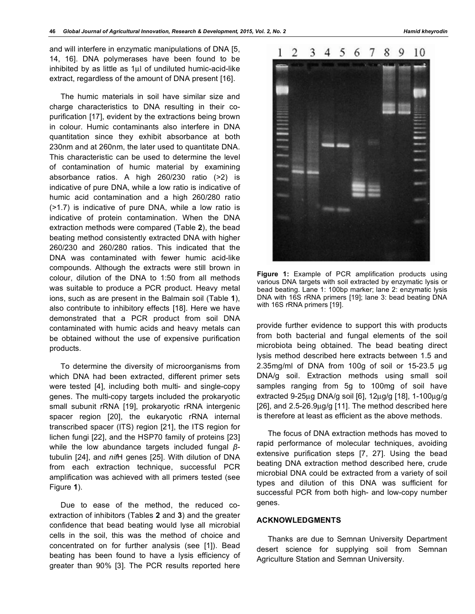and will interfere in enzymatic manipulations of DNA [5, 14, 16]. DNA polymerases have been found to be inhibited by as little as 1µl of undiluted humic-acid-like extract, regardless of the amount of DNA present [16].

The humic materials in soil have similar size and charge characteristics to DNA resulting in their copurification [17], evident by the extractions being brown in colour. Humic contaminants also interfere in DNA quantitation since they exhibit absorbance at both 230nm and at 260nm, the later used to quantitate DNA. This characteristic can be used to determine the level of contamination of humic material by examining absorbance ratios. A high 260/230 ratio (>2) is indicative of pure DNA, while a low ratio is indicative of humic acid contamination and a high 260/280 ratio (>1.7) is indicative of pure DNA, while a low ratio is indicative of protein contamination. When the DNA extraction methods were compared (Table **2**), the bead beating method consistently extracted DNA with higher 260/230 and 260/280 ratios. This indicated that the DNA was contaminated with fewer humic acid-like compounds. Although the extracts were still brown in colour, dilution of the DNA to 1:50 from all methods was suitable to produce a PCR product. Heavy metal ions, such as are present in the Balmain soil (Table **1**), also contribute to inhibitory effects [18]. Here we have demonstrated that a PCR product from soil DNA contaminated with humic acids and heavy metals can be obtained without the use of expensive purification products.

To determine the diversity of microorganisms from which DNA had been extracted, different primer sets were tested [4], including both multi- and single-copy genes. The multi-copy targets included the prokaryotic small subunit rRNA [19], prokaryotic rRNA intergenic spacer region [20], the eukaryotic rRNA internal transcribed spacer (ITS) region [21], the ITS region for lichen fungi [22], and the HSP70 family of proteins [23] while the low abundance targets included fungal *β*tubulin [24], and *nif*H genes [25]. With dilution of DNA from each extraction technique, successful PCR amplification was achieved with all primers tested (see Figure **1**).

Due to ease of the method, the reduced coextraction of inhibitors (Tables **2** and **3**) and the greater confidence that bead beating would lyse all microbial cells in the soil, this was the method of choice and concentrated on for further analysis (see [1]). Bead beating has been found to have a lysis efficiency of greater than 90% [3]. The PCR results reported here



3 4 5 6

7 8 9

 $1\quad2$ 

**Figure 1:** Example of PCR amplification products using various DNA targets with soil extracted by enzymatic lysis or bead beating. Lane 1: 100bp marker; lane 2: enzymatic lysis DNA with 16S rRNA primers [19]; lane 3: bead beating DNA with 16S rRNA primers [19].

provide further evidence to support this with products from both bacterial and fungal elements of the soil microbiota being obtained. The bead beating direct lysis method described here extracts between 1.5 and 2.35mg/ml of DNA from 100g of soil or 15-23.5 µg DNA/g soil. Extraction methods using small soil samples ranging from 5g to 100mg of soil have extracted 9-25µg DNA/g soil [6], 12µg/g [18], 1-100µg/g [26], and 2.5-26.9µg/g [11]. The method described here is therefore at least as efficient as the above methods.

The focus of DNA extraction methods has moved to rapid performance of molecular techniques, avoiding extensive purification steps [7, 27]. Using the bead beating DNA extraction method described here, crude microbial DNA could be extracted from a variety of soil types and dilution of this DNA was sufficient for successful PCR from both high- and low-copy number genes.

## **ACKNOWLEDGMENTS**

Thanks are due to Semnan University Department desert science for supplying soil from Semnan Agriculture Station and Semnan University.

10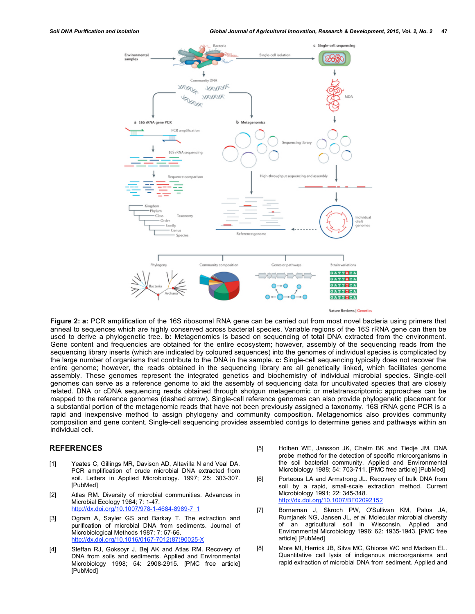

**Figure 2: a:** PCR amplification of the 16S ribosomal RNA gene can be carried out from most novel bacteria using primers that anneal to sequences which are highly conserved across bacterial species. Variable regions of the 16S rRNA gene can then be used to derive a phylogenetic tree. **b:** Metagenomics is based on sequencing of total DNA extracted from the environment. Gene content and frequencies are obtained for the entire ecosystem; however, assembly of the sequencing reads from the sequencing library inserts (which are indicated by coloured sequences) into the genomes of individual species is complicated by the large number of organisms that contribute to the DNA in the sample. **c:** Single-cell sequencing typically does not recover the entire genome; however, the reads obtained in the sequencing library are all genetically linked, which facilitates genome assembly. These genomes represent the integrated genetics and biochemistry of individual microbial species. Single-cell genomes can serve as a reference genome to aid the assembly of sequencing data for uncultivated species that are closely related. DNA or cDNA sequencing reads obtained through shotgun metagenomic or metatranscriptomic approaches can be mapped to the reference genomes (dashed arrow). Single-cell reference genomes can also provide phylogenetic placement for a substantial portion of the metagenomic reads that have not been previously assigned a taxonomy. 16S rRNA gene PCR is a rapid and inexpensive method to assign phylogeny and community composition. Metagenomics also provides community composition and gene content. Single-cell sequencing provides assembled contigs to determine genes and pathways within an individual cell.

### **REFERENCES**

- [1] Yeates C, Gillings MR, Davison AD, Altavilla N and Veal DA. PCR amplification of crude microbial DNA extracted from soil. Letters in Applied Microbiology. 1997; 25: 303-307. [PubMed]
- [2] Atlas RM. Diversity of microbial communities. Advances in Microbial Ecology 1984; 7: 1-47. http://dx.doi.org/10.1007/978-1-4684-8989-7\_1
- [3] Ogram A, Sayler GS and Barkay T. The extraction and purification of microbial DNA from sediments. Journal of Microbiological Methods 1987; 7: 57-66. http://dx.doi.org/10.1016/0167-7012(87)90025-X
- [4] Steffan RJ, Goksoyr J, Bej AK and Atlas RM. Recovery of DNA from soils and sediments. Applied and Environmental Microbiology 1998; 54: 2908-2915. [PMC free article] [PubMed]
- [5] Holben WE, Jansson JK, Chelm BK and Tiedje JM. DNA probe method for the detection of specific microorganisms in the soil bacterial community. Applied and Environmental Microbiology 1988; 54: 703-711. [PMC free article] [PubMed]
- [6] Porteous LA and Armstrong JL. Recovery of bulk DNA from soil by a rapid, small-scale extraction method. Current Microbiology 1991; 22: 345-348. http://dx.doi.org/10.1007/BF02092152
- [7] Borneman J, Skroch PW, O'Sullivan KM, Palus JA, Rumjanek NG, Jansen JL, *et al*. Molecular microbial diversity of an agricultural soil in Wisconsin. Applied and Environmental Microbiology 1996; 62: 1935-1943. [PMC free article] [PubMed]
- [8] More MI, Herrick JB, Silva MC, Ghiorse WC and Madsen EL. Quantitative cell lysis of indigenous microorganisms and rapid extraction of microbial DNA from sediment. Applied and